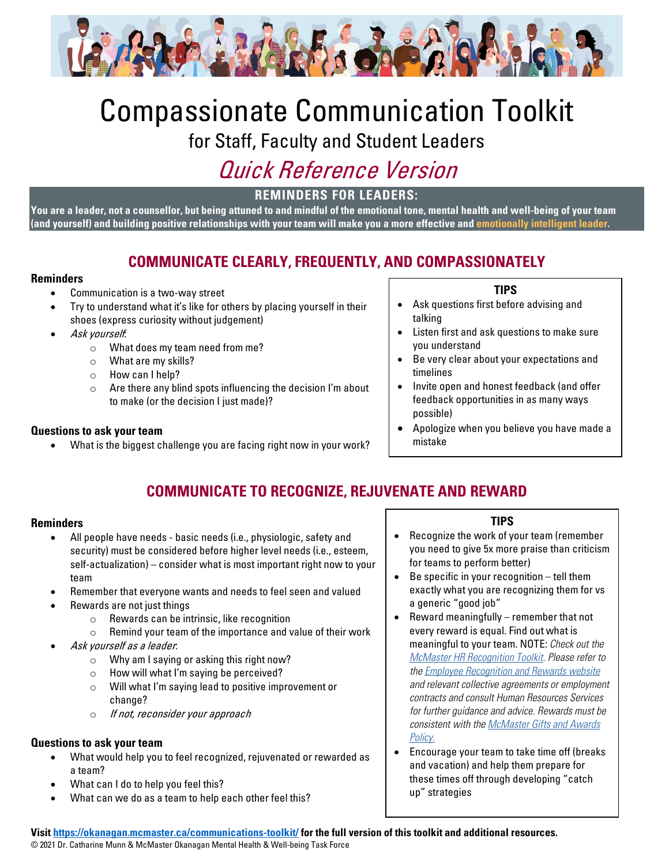

# Compassionate Communication Toolkit

for Staff, Faculty and Student Leaders

## Quick Reference Version

**REMINDERS FOR LEADERS:**

**You are a leader, not a counsellor, but being attuned to and mindful of the emotional tone, mental health and well-being of your team (and yourself) and building positive relationships with your team will make you a more effective and [emotionally intelligent leader.](https://www.gottman.com/blog/emotional-intelligence-key-successful-leadership/)**

## **COMMUNICATE CLEARLY, FREQUENTLY, AND COMPASSIONATELY**

#### **Reminders**

- Communication is a two-way street
- Try to understand what it's like for others by placing yourself in their shoes (express curiosity without judgement)
- Ask yourself:
	- o What does my team need from me?
	- $\circ$  What are my skills?
	- o How can I help?
	- o Are there any blind spots influencing the decision I'm about to make (or the decision I just made)?

#### **Questions to ask your team**

What is the biggest challenge you are facing right now in your work?

#### **TIPS**

- Ask questions first before advising and talking
- Listen first and ask questions to make sure you understand
- Be very clear about your expectations and timelines
- Invite open and honest feedback (and offer feedback opportunities in as many ways possible)
- Apologize when you believe you have made a mistake

## **COMMUNICATE TO RECOGNIZE, REJUVENATE AND REWARD**

#### **Reminders**

- All people have needs basic needs (i.e., physiologic, safety and security) must be considered before higher level needs (i.e., esteem, self-actualization) – consider what is most important right now to your team
- Remember that everyone wants and needs to feel seen and valued
- Rewards are not just things
	- o Rewards can be intrinsic, like recognition
	- o Remind your team of the importance and value of their work
- Ask yourself as a leader:
	- o Why am I saying or asking this right now?
	- o How will what I'm saying be perceived?
	- o Will what I'm saying lead to positive improvement or change?
	- o If not, reconsider your approach

#### **Questions to ask your team**

- What would help you to feel recognized, rejuvenated or rewarded as a team?
- What can I do to help you feel this?
- What can we do as a team to help each other feel this?

#### **TIPS**

- Recognize the work of your team (remember you need to give 5x more praise than criticism for teams to perform better)
- Be specific in your recognition tell them exactly what you are recognizing them for vs a generic "good job"
- Reward meaningfully remember that not every reward is equal. Find out what is meaningful to your team. NOTE: *Check out the McMaster HR Recognition Toolkit. Please refer to the Employee Recognition and Rewards website and relevant collective agreements or employment contracts and consult Human Resources Services for further guidance and advice. Rewards must be consistent with the McMaster Gifts and Awards Policy.*
- Encourage your team to take time off (breaks and vacation) and help them prepare for these times off through developing "catch up" strategies

**Visit<https://okanagan.mcmaster.ca/communications-toolkit/> for the full version of this toolkit and additional resources.** © 2021 Dr. Catharine Munn & McMaster Okanagan Mental Health & Well-being Task Force